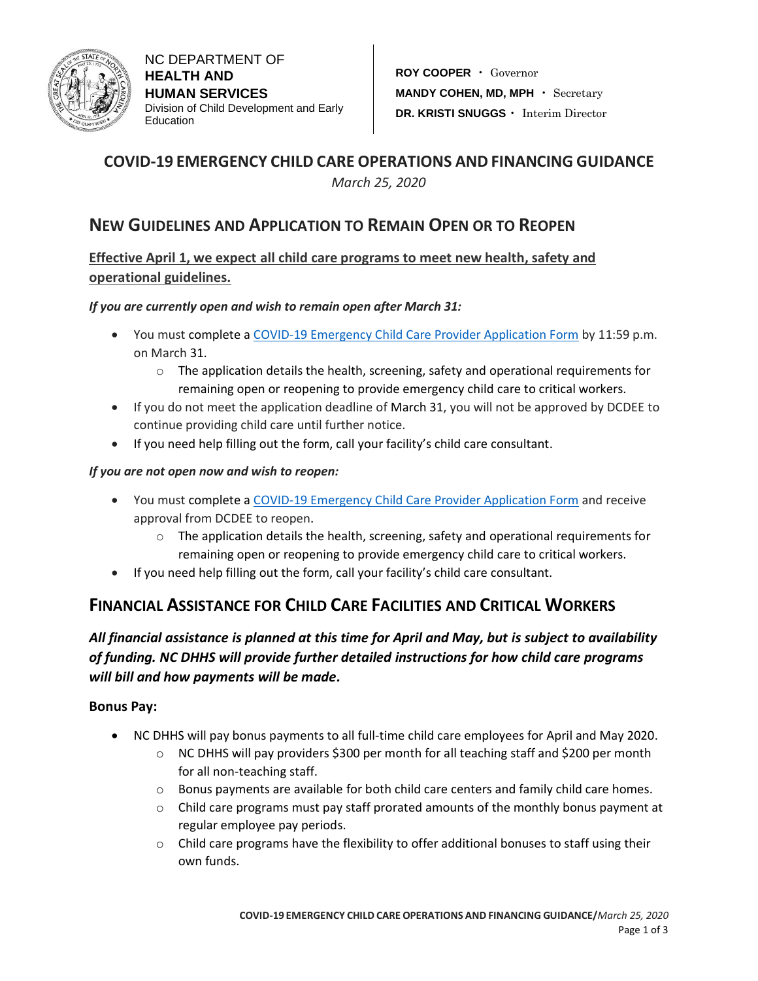

## **COVID-19 EMERGENCY CHILD CARE OPERATIONS AND FINANCING GUIDANCE**

*March 25, 2020*

## **NEW GUIDELINES AND APPLICATION TO REMAIN OPEN OR TO REOPEN**

### **Effective April 1, we expect all child care programs to meet new health, safety and operational guidelines.**

### *If you are currently open and wish to remain open after March 31:*

- You must complete a [COVID-19 Emergency Child Care Provider Application Form](https://ncchildcare.ncdhhs.gov/Whats-New/Coronavirus-Information-for-Child-Care/COVID-19-Emergency-Child-Care-Provider-Application-Form) by 11:59 p.m. on March 31.
	- $\circ$  The application details the health, screening, safety and operational requirements for remaining open or reopening to provide emergency child care to critical workers.
- If you do not meet the application deadline of March 31, you will not be approved by DCDEE to continue providing child care until further notice.
- If you need help filling out the form, call your facility's child care consultant.

### *If you are not open now and wish to reopen:*

- You must complete a [COVID-19 Emergency Child Care Provider Application Form](https://ncchildcare.ncdhhs.gov/Whats-New/Coronavirus-Information-for-Child-Care/COVID-19-Emergency-Child-Care-Provider-Application-Form) and receive approval from DCDEE to reopen.
	- $\circ$  The application details the health, screening, safety and operational requirements for remaining open or reopening to provide emergency child care to critical workers.
- If you need help filling out the form, call your facility's child care consultant.

# **FINANCIAL ASSISTANCE FOR CHILD CARE FACILITIES AND CRITICAL WORKERS**

## *All financial assistance is planned at this time for April and May, but is subject to availability of funding. NC DHHS will provide further detailed instructions for how child care programs will bill and how payments will be made.*

### **Bonus Pay:**

- NC DHHS will pay bonus payments to all full-time child care employees for April and May 2020.
	- $\circ$  NC DHHS will pay providers \$300 per month for all teaching staff and \$200 per month for all non-teaching staff.
	- $\circ$  Bonus payments are available for both child care centers and family child care homes.
	- $\circ$  Child care programs must pay staff prorated amounts of the monthly bonus payment at regular employee pay periods.
	- $\circ$  Child care programs have the flexibility to offer additional bonuses to staff using their own funds.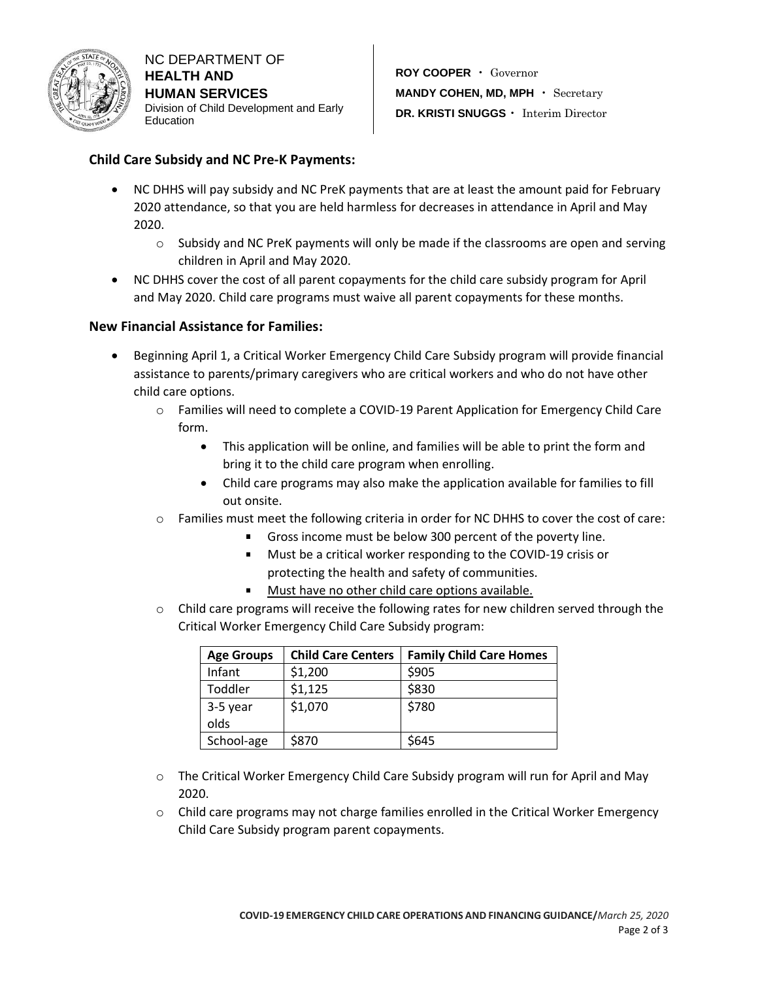

NC DEPARTMENT OF **HEALTH AND HUMAN SERVICES** Division of Child Development and Early **Education** 

### **Child Care Subsidy and NC Pre-K Payments:**

- NC DHHS will pay subsidy and NC PreK payments that are at least the amount paid for February 2020 attendance, so that you are held harmless for decreases in attendance in April and May 2020.
	- $\circ$  Subsidy and NC PreK payments will only be made if the classrooms are open and serving children in April and May 2020.
- NC DHHS cover the cost of all parent copayments for the child care subsidy program for April and May 2020. Child care programs must waive all parent copayments for these months.

### **New Financial Assistance for Families:**

- Beginning April 1, a Critical Worker Emergency Child Care Subsidy program will provide financial assistance to parents/primary caregivers who are critical workers and who do not have other child care options.
	- o Families will need to complete a COVID-19 Parent Application for Emergency Child Care form.
		- This application will be online, and families will be able to print the form and bring it to the child care program when enrolling.
		- Child care programs may also make the application available for families to fill out onsite.
	- o Families must meet the following criteria in order for NC DHHS to cover the cost of care:
		- Gross income must be below 300 percent of the poverty line.
		- **Must be a critical worker responding to the COVID-19 crisis or** protecting the health and safety of communities.
		- $\blacksquare$ Must have no other child care options available.
	- $\circ$  Child care programs will receive the following rates for new children served through the Critical Worker Emergency Child Care Subsidy program:

| <b>Age Groups</b> | <b>Child Care Centers</b> | <b>Family Child Care Homes</b> |
|-------------------|---------------------------|--------------------------------|
| Infant            | \$1,200                   | \$905                          |
| Toddler           | \$1,125                   | \$830                          |
| 3-5 year          | \$1,070                   | \$780                          |
| olds              |                           |                                |
| School-age        | \$870                     | \$645                          |

- o The Critical Worker Emergency Child Care Subsidy program will run for April and May 2020.
- $\circ$  Child care programs may not charge families enrolled in the Critical Worker Emergency Child Care Subsidy program parent copayments.